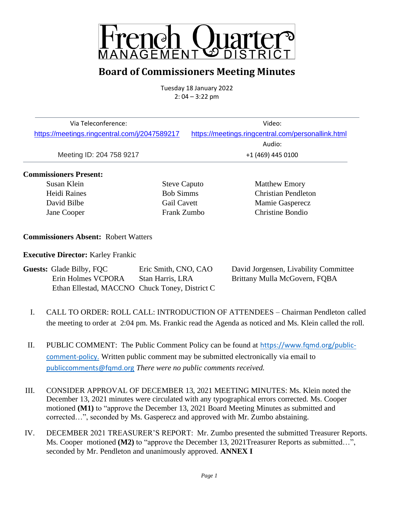

### **Board of Commissioners Meeting Minutes**

Tuesday 18 January 2022  $2: 04 - 3:22$  pm

| Via Teleconference:                           | Video:                                             |
|-----------------------------------------------|----------------------------------------------------|
| https://meetings.ringcentral.com/j/2047589217 | https://meetings.ringcentral.com/personallink.html |
|                                               | Audio:                                             |
| Meeting ID: 204 758 9217                      | +1 (469) 445 0100                                  |
|                                               |                                                    |

### **Commissioners Present:**

Susan Klein Steve Caputo Matthew Emory Heidi Raines Bob Simms Christian Pendleton David Bilbe Gail Cavett Mamie Gasperecz Jane Cooper Frank Zumbo Christine Bondio

**Commissioners Absent:** Robert Watters

**Executive Director:** Karley Frankic

| <b>Guests: Glade Bilby, FQC</b>                | Eric Smith, CNO, CAO | David Jorgensen, Livability Committee |
|------------------------------------------------|----------------------|---------------------------------------|
| Erin Holmes VCPORA                             | Stan Harris, LRA     | Brittany Mulla McGovern, FQBA         |
| Ethan Ellestad, MACCNO Chuck Toney, District C |                      |                                       |

- I. CALL TO ORDER: ROLL CALL: INTRODUCTION OF ATTENDEES Chairman Pendleton called the meeting to order at 2:04 pm. Ms. Frankic read the Agenda as noticed and Ms. Klein called the roll.
- II. PUBLIC COMMENT: The Public Comment Policy can be found at [https://www.fqmd.org/public](https://www.fqmd.org/public-comment-policy)[comment-policy.](https://www.fqmd.org/public-comment-policy) Written public comment may be submitted electronically via email to [publiccomments@fqmd.org](mailto:publiccomments@fqmd.org) *There were no public comments received.*
- III. CONSIDER APPROVAL OF DECEMBER 13, 2021 MEETING MINUTES: Ms. Klein noted the December 13, 2021 minutes were circulated with any typographical errors corrected. Ms. Cooper motioned **(M1)** to "approve the December 13, 2021 Board Meeting Minutes as submitted and corrected…", seconded by Ms. Gasperecz and approved with Mr. Zumbo abstaining.
- IV. DECEMBER 2021 TREASURER'S REPORT: Mr. Zumbo presented the submitted Treasurer Reports. Ms. Cooper motioned **(M2)** to "approve the December 13, 2021 Treasurer Reports as submitted...", seconded by Mr. Pendleton and unanimously approved. **ANNEX I**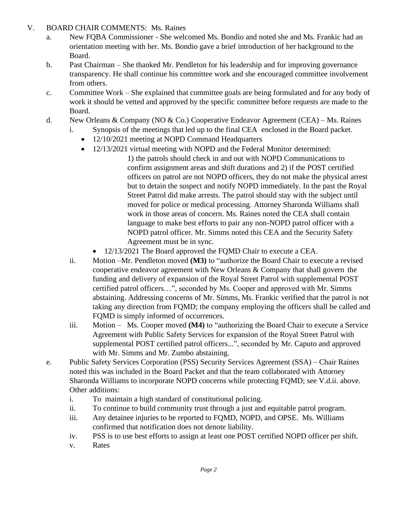### V. BOARD CHAIR COMMENTS: Ms. Raines

- a. New FQBA Commissioner She welcomed Ms. Bondio and noted she and Ms. Frankic had an orientation meeting with her. Ms. Bondio gave a brief introduction of her background to the Board.
- b. Past Chairman She thanked Mr. Pendleton for his leadership and for improving governance transparency. He shall continue his committee work and she encouraged committee involvement from others.
- c. Committee Work She explained that committee goals are being formulated and for any body of work it should be vetted and approved by the specific committee before requests are made to the Board.
- d. New Orleans & Company (NO & Co.) Cooperative Endeavor Agreement (CEA) Ms. Raines
	- i. Synopsis of the meetings that led up to the final CEA enclosed in the Board packet.
		- 12/10/2021 meeting at NOPD Command Headquarters
		- 12/13/2021 virtual meeting with NOPD and the Federal Monitor determined:

1) the patrols should check in and out with NOPD Communications to confirm assignment areas and shift durations and 2) if the POST certified officers on patrol are not NOPD officers, they do not make the physical arrest but to detain the suspect and notify NOPD immediately. In the past the Royal Street Patrol did make arrests. The patrol should stay with the subject until moved for police or medical processing. Attorney Sharonda Williams shall work in those areas of concern. Ms. Raines noted the CEA shall contain language to make best efforts to pair any non-NOPD patrol officer with a NOPD patrol officer. Mr. Simms noted this CEA and the Security Safety Agreement must be in sync.

- 12/13/2021 The Board approved the FQMD Chair to execute a CEA.
- ii. Motion –Mr. Pendleton moved **(M3)** to "authorize the Board Chair to execute a revised cooperative endeavor agreement with New Orleans & Company that shall govern the funding and delivery of expansion of the Royal Street Patrol with supplemental POST certified patrol officers…", seconded by Ms. Cooper and approved with Mr. Simms abstaining. Addressing concerns of Mr. Simms, Ms. Frankic verified that the patrol is not taking any direction from FQMD; the company employing the officers shall be called and FQMD is simply informed of occurrences.
- iii. Motion Ms. Cooper moved **(M4)** to "authorizing the Board Chair to execute a Service Agreement with Public Safety Services for expansion of the Royal Street Patrol with supplemental POST certified patrol officers...", seconded by Mr. Caputo and approved with Mr. Simms and Mr. Zumbo abstaining.
- e. Public Safety Services Corporation (PSS) Security Services Agreement (SSA) Chair Raines noted this was included in the Board Packet and that the team collaborated with Attorney Sharonda Williams to incorporate NOPD concerns while protecting FQMD; see V.d.ii. above. Other additions:
	- i. To maintain a high standard of constitutional policing.
	- ii. To continue to build community trust through a just and equitable patrol program.
	- iii. Any detainee injuries to be reported to FQMD, NOPD, and OPSE. Ms. Williams confirmed that notification does not denote liability.
	- iv. PSS is to use best efforts to assign at least one POST certified NOPD officer per shift.
	- v. Rates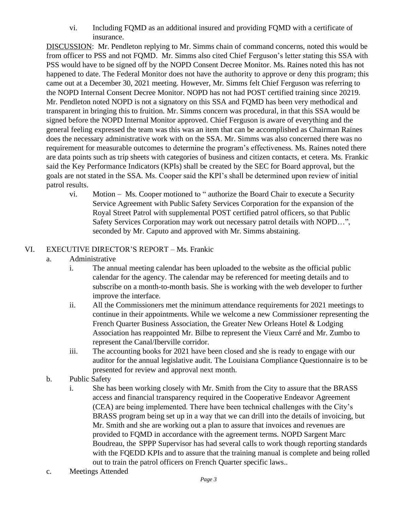vi. Including FQMD as an additional insured and providing FQMD with a certificate of insurance.

DISCUSSION: Mr. Pendleton replying to Mr. Simms chain of command concerns, noted this would be from officer to PSS and not FQMD. Mr. Simms also cited Chief Ferguson's letter stating this SSA with PSS would have to be signed off by the NOPD Consent Decree Monitor. Ms. Raines noted this has not happened to date. The Federal Monitor does not have the authority to approve or deny this program; this came out at a December 30, 2021 meeting. However, Mr. Simms felt Chief Ferguson was referring to the NOPD Internal Consent Decree Monitor. NOPD has not had POST certified training since 20219. Mr. Pendleton noted NOPD is not a signatory on this SSA and FQMD has been very methodical and transparent in bringing this to fruition. Mr. Simms concern was procedural, in that this SSA would be signed before the NOPD Internal Monitor approved. Chief Ferguson is aware of everything and the general feeling expressed the team was this was an item that can be accomplished as Chairman Raines does the necessary administrative work with on the SSA. Mr. Simms was also concerned there was no requirement for measurable outcomes to determine the program's effectiveness. Ms. Raines noted there are data points such as trip sheets with categories of business and citizen contacts, et cetera. Ms. Frankic said the Key Performance Indicators (KPIs) shall be created by the SEC for Board approval, but the goals are not stated in the SSA. Ms. Cooper said the KPI's shall be determined upon review of initial patrol results.

vi. Motion – Ms. Cooper motioned to " authorize the Board Chair to execute a Security Service Agreement with Public Safety Services Corporation for the expansion of the Royal Street Patrol with supplemental POST certified patrol officers, so that Public Safety Services Corporation may work out necessary patrol details with NOPD…", seconded by Mr. Caputo and approved with Mr. Simms abstaining.

### VI. EXECUTIVE DIRECTOR'S REPORT – Ms. Frankic

- a. Administrative
	- i. The annual meeting calendar has been uploaded to the website as the official public calendar for the agency. The calendar may be referenced for meeting details and to subscribe on a month-to-month basis. She is working with the web developer to further improve the interface.
	- ii. All the Commissioners met the minimum attendance requirements for 2021 meetings to continue in their appointments. While we welcome a new Commissioner representing the French Quarter Business Association, the Greater New Orleans Hotel & Lodging Association has reappointed Mr. Bilbe to represent the Vieux Carré and Mr. Zumbo to represent the Canal/Iberville corridor.
	- iii. The accounting books for 2021 have been closed and she is ready to engage with our auditor for the annual legislative audit. The Louisiana Compliance Questionnaire is to be presented for review and approval next month.
- b. Public Safety
	- i. She has been working closely with Mr. Smith from the City to assure that the BRASS access and financial transparency required in the Cooperative Endeavor Agreement (CEA) are being implemented. There have been technical challenges with the City's BRASS program being set up in a way that we can drill into the details of invoicing, but Mr. Smith and she are working out a plan to assure that invoices and revenues are provided to FQMD in accordance with the agreement terms. NOPD Sargent Marc Boudreau, the SPPP Supervisor has had several calls to work though reporting standards with the FQEDD KPIs and to assure that the training manual is complete and being rolled out to train the patrol officers on French Quarter specific laws..
- c. Meetings Attended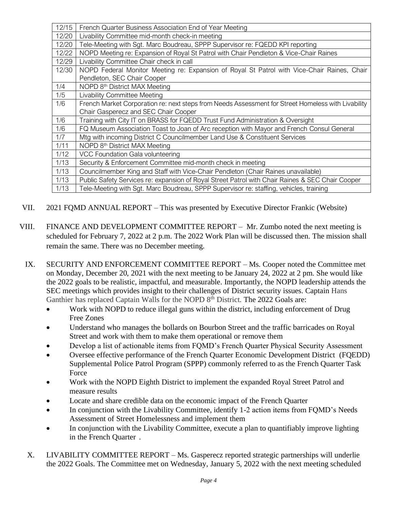| 12/15 | French Quarter Business Association End of Year Meeting                                            |
|-------|----------------------------------------------------------------------------------------------------|
| 12/20 | Livability Committee mid-month check-in meeting                                                    |
| 12/20 | Tele-Meeting with Sgt. Marc Boudreau, SPPP Supervisor re: FQEDD KPI reporting                      |
| 12/22 | NOPD Meeting re: Expansion of Royal St Patrol with Chair Pendleton & Vice-Chair Raines             |
| 12/29 | Livability Committee Chair check in call                                                           |
| 12/30 | NOPD Federal Monitor Meeting re: Expansion of Royal St Patrol with Vice-Chair Raines, Chair        |
|       | Pendleton, SEC Chair Cooper                                                                        |
| 1/4   | NOPD 8 <sup>th</sup> District MAX Meeting                                                          |
| 1/5   | <b>Livability Committee Meeting</b>                                                                |
| 1/6   | French Market Corporation re: next steps from Needs Assessment for Street Homeless with Livability |
|       | Chair Gasperecz and SEC Chair Cooper                                                               |
| 1/6   | Training with City IT on BRASS for FQEDD Trust Fund Administration & Oversight                     |
| 1/6   | FQ Museum Association Toast to Joan of Arc reception with Mayor and French Consul General          |
| 1/7   | Mtg with incoming District C Councilmember Land Use & Constituent Services                         |
| 1/11  | NOPD 8 <sup>th</sup> District MAX Meeting                                                          |
| 1/12  | VCC Foundation Gala volunteering                                                                   |
| 1/13  | Security & Enforcement Committee mid-month check in meeting                                        |
| 1/13  | Councilmember King and Staff with Vice-Chair Pendleton (Chair Raines unavailable)                  |
| 1/13  | Public Safety Services re: expansion of Royal Street Patrol with Chair Raines & SEC Chair Cooper   |
| 1/13  | Tele-Meeting with Sgt. Marc Boudreau, SPPP Supervisor re: staffing, vehicles, training             |

- VII. 2021 FQMD ANNUAL REPORT This was presented by Executive Director Frankic (Website)
- VIII. FINANCE AND DEVELOPMENT COMMITTEE REPORT Mr. Zumbo noted the next meeting is scheduled for February 7, 2022 at 2 p.m. The 2022 Work Plan will be discussed then. The mission shall remain the same. There was no December meeting.
- IX. SECURITY AND ENFORCEMENT COMMITTEE REPORT Ms. Cooper noted the Committee met on Monday, December 20, 2021 with the next meeting to be January 24, 2022 at 2 pm. She would like the 2022 goals to be realistic, impactful, and measurable. Importantly, the NOPD leadership attends the SEC meetings which provides insight to their challenges of District security issues. Captain Hans Ganthier has replaced Captain Walls for the NOPD 8<sup>th</sup> District. The 2022 Goals are:
	- Work with NOPD to reduce illegal guns within the district, including enforcement of Drug Free Zones
	- Understand who manages the bollards on Bourbon Street and the traffic barricades on Royal Street and work with them to make them operational or remove them
	- Develop a list of actionable items from FQMD's French Quarter Physical Security Assessment
	- Oversee effective performance of the French Quarter Economic Development District (FQEDD) Supplemental Police Patrol Program (SPPP) commonly referred to as the French Quarter Task Force
	- Work with the NOPD Eighth District to implement the expanded Royal Street Patrol and measure results
	- Locate and share credible data on the economic impact of the French Quarter
	- In conjunction with the Livability Committee, identify 1-2 action items from FQMD's Needs Assessment of Street Homelessness and implement them
	- In conjunction with the Livability Committee, execute a plan to quantifiably improve lighting in the French Quarter .
- X. LIVABILITY COMMITTEE REPORT Ms. Gasperecz reported strategic partnerships will underlie the 2022 Goals. The Committee met on Wednesday, January 5, 2022 with the next meeting scheduled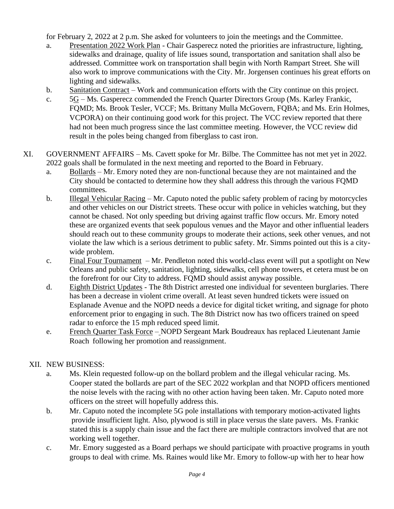for February 2, 2022 at 2 p.m. She asked for volunteers to join the meetings and the Committee.

- a. Presentation 2022 Work Plan Chair Gasperecz noted the priorities are infrastructure, lighting, sidewalks and drainage, quality of life issues sound, transportation and sanitation shall also be addressed. Committee work on transportation shall begin with North Rampart Street. She will also work to improve communications with the City. Mr. Jorgensen continues his great efforts on lighting and sidewalks.
- b. Sanitation Contract Work and communication efforts with the City continue on this project.
- c. 5G Ms. Gasperecz commended the French Quarter Directors Group (Ms. Karley Frankic, FQMD; Ms. Brook Tesler, VCCF; Ms. Brittany Mulla McGovern, FQBA; and Ms. Erin Holmes, VCPORA) on their continuing good work for this project. The VCC review reported that there had not been much progress since the last committee meeting. However, the VCC review did result in the poles being changed from fiberglass to cast iron.
- XI. GOVERNMENT AFFAIRS Ms. Cavett spoke for Mr. Bilbe. The Committee has not met yet in 2022. 2022 goals shall be formulated in the next meeting and reported to the Board in February.
	- a. Bollards Mr. Emory noted they are non-functional because they are not maintained and the City should be contacted to determine how they shall address this through the various FQMD committees.
	- b. Illegal Vehicular Racing Mr. Caputo noted the public safety problem of racing by motorcycles and other vehicles on our District streets. These occur with police in vehicles watching, but they cannot be chased. Not only speeding but driving against traffic flow occurs. Mr. Emory noted these are organized events that seek populous venues and the Mayor and other influential leaders should reach out to these community groups to moderate their actions, seek other venues, and not violate the law which is a serious detriment to public safety. Mr. Simms pointed out this is a citywide problem.
	- c. Final Four Tournament Mr. Pendleton noted this world-class event will put a spotlight on New Orleans and public safety, sanitation, lighting, sidewalks, cell phone towers, et cetera must be on the forefront for our City to address. FQMD should assist anyway possible.
	- d. Eighth District Updates The 8th District arrested one individual for seventeen burglaries. There has been a decrease in violent crime overall. At least seven hundred tickets were issued on Esplanade Avenue and the NOPD needs a device for digital ticket writing, and signage for photo enforcement prior to engaging in such. The 8th District now has two officers trained on speed radar to enforce the 15 mph reduced speed limit.
	- e. French Quarter Task Force NOPD Sergeant Mark Boudreaux has replaced Lieutenant Jamie Roach following her promotion and reassignment.

### XII. NEW BUSINESS:

- a. Ms. Klein requested follow-up on the bollard problem and the illegal vehicular racing. Ms. Cooper stated the bollards are part of the SEC 2022 workplan and that NOPD officers mentioned the noise levels with the racing with no other action having been taken. Mr. Caputo noted more officers on the street will hopefully address this.
- b. Mr. Caputo noted the incomplete 5G pole installations with temporary motion-activated lights provide insufficient light. Also, plywood is still in place versus the slate pavers. Ms. Frankic stated this is a supply chain issue and the fact there are multiple contractors involved that are not working well together.
- c. Mr. Emory suggested as a Board perhaps we should participate with proactive programs in youth groups to deal with crime. Ms. Raines would like Mr. Emory to follow-up with her to hear how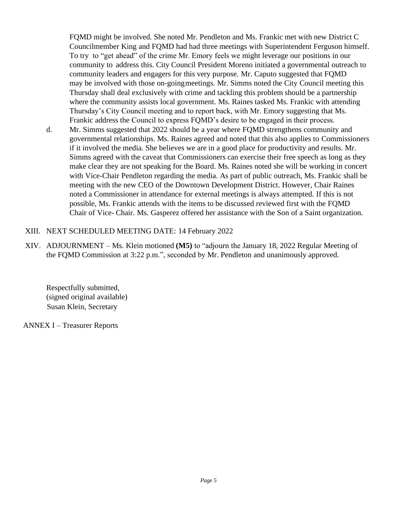FQMD might be involved. She noted Mr. Pendleton and Ms. Frankic met with new District C Councilmember King and FQMD had had three meetings with Superintendent Ferguson himself. To try to "get ahead" of the crime Mr. Emory feels we might leverage our positions in our community to address this. City Council President Moreno initiated a governmental outreach to community leaders and engagers for this very purpose. Mr. Caputo suggested that FQMD may be involved with those on-goingmeetings. Mr. Simms noted the City Council meeting this Thursday shall deal exclusively with crime and tackling this problem should be a partnership where the community assists local government. Ms. Raines tasked Ms. Frankic with attending Thursday's City Council meeting and to report back, with Mr. Emory suggesting that Ms. Frankic address the Council to express FQMD's desire to be engaged in their process.

d. Mr. Simms suggested that 2022 should be a year where FQMD strengthens community and governmental relationships. Ms. Raines agreed and noted that this also applies to Commissioners if it involved the media. She believes we are in a good place for productivity and results. Mr. Simms agreed with the caveat that Commissioners can exercise their free speech as long as they make clear they are not speaking for the Board. Ms. Raines noted she will be working in concert with Vice-Chair Pendleton regarding the media. As part of public outreach, Ms. Frankic shall be meeting with the new CEO of the Downtown Development District. However, Chair Raines noted a Commissioner in attendance for external meetings is always attempted. If this is not possible, Ms. Frankic attends with the items to be discussed reviewed first with the FQMD Chair of Vice- Chair. Ms. Gasperez offered her assistance with the Son of a Saint organization.

### XIII. NEXT SCHEDULED MEETING DATE: 14 February 2022

XIV. ADJOURNMENT – Ms. Klein motioned **(M5)** to "adjourn the January 18, 2022 Regular Meeting of the FQMD Commission at 3:22 p.m.", seconded by Mr. Pendleton and unanimously approved.

Respectfully submitted, (signed original available) Susan Klein, Secretary

ANNEX I – Treasurer Reports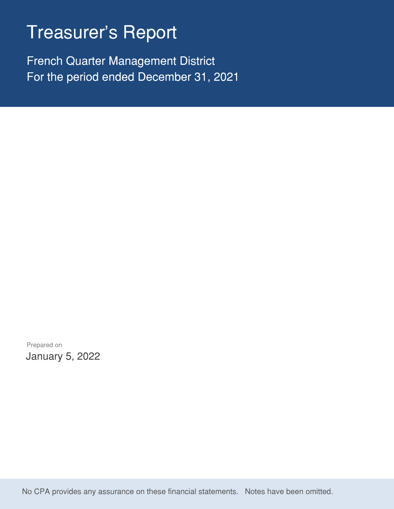# Treasurer's Report

French Quarter Management District For the period ended December 31, 2021

Prepared on January 5, 2022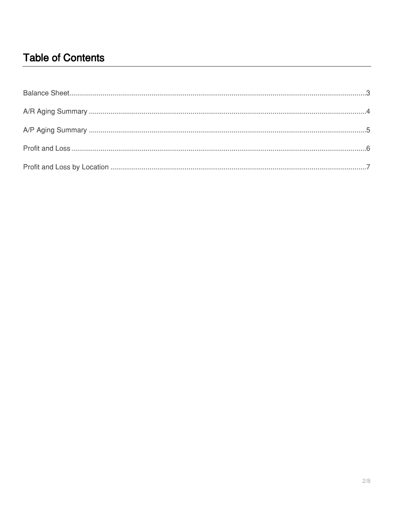# **Table of Contents**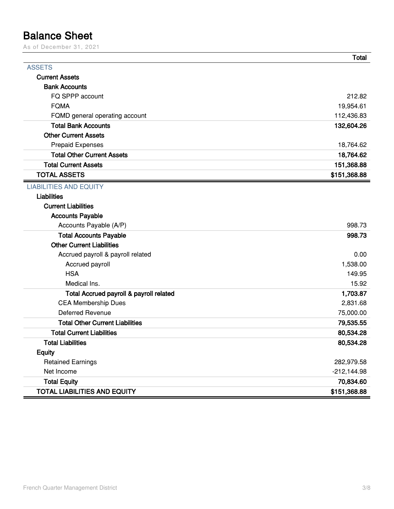# <span id="page-8-0"></span>**Balance Sheet**

As of December 31, 2021

|                                         | <b>Total</b>  |
|-----------------------------------------|---------------|
| <b>ASSETS</b>                           |               |
| <b>Current Assets</b>                   |               |
| <b>Bank Accounts</b>                    |               |
| FQ SPPP account                         | 212.82        |
| <b>FQMA</b>                             | 19,954.61     |
| FQMD general operating account          | 112,436.83    |
| <b>Total Bank Accounts</b>              | 132,604.26    |
| <b>Other Current Assets</b>             |               |
| <b>Prepaid Expenses</b>                 | 18,764.62     |
| <b>Total Other Current Assets</b>       | 18,764.62     |
| <b>Total Current Assets</b>             | 151,368.88    |
| <b>TOTAL ASSETS</b>                     | \$151,368.88  |
| <b>LIABILITIES AND EQUITY</b>           |               |
| <b>Liabilities</b>                      |               |
| <b>Current Liabilities</b>              |               |
| <b>Accounts Payable</b>                 |               |
| Accounts Payable (A/P)                  | 998.73        |
| <b>Total Accounts Payable</b>           | 998.73        |
| <b>Other Current Liabilities</b>        |               |
| Accrued payroll & payroll related       | 0.00          |
| Accrued payroll                         | 1,538.00      |
| <b>HSA</b>                              | 149.95        |
| Medical Ins.                            | 15.92         |
| Total Accrued payroll & payroll related | 1,703.87      |
| <b>CEA Membership Dues</b>              | 2,831.68      |
| <b>Deferred Revenue</b>                 | 75,000.00     |
| <b>Total Other Current Liabilities</b>  | 79,535.55     |
| <b>Total Current Liabilities</b>        | 80,534.28     |
| Total Liabilities                       | 80,534.28     |
| <b>Equity</b>                           |               |
| <b>Retained Earnings</b>                | 282,979.58    |
| Net Income                              | $-212,144.98$ |
| <b>Total Equity</b>                     | 70,834.60     |
| <b>TOTAL LIABILITIES AND EQUITY</b>     | \$151,368.88  |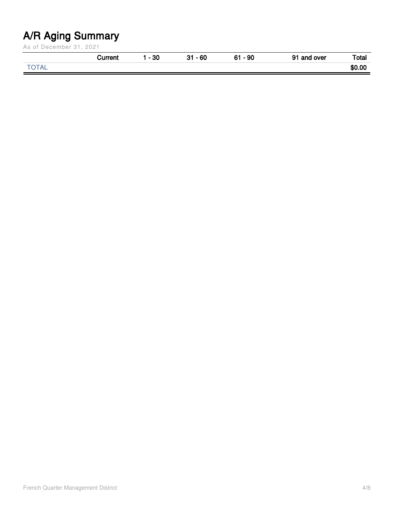# <span id="page-9-0"></span>**A/R Aging Summary**

As of December 31, 2021

|                        | <b>TUPPOR</b> | $-30$ | $-60$<br><b>04</b> | 90<br>$\sim$ | Ω1<br>and over . | Total  |
|------------------------|---------------|-------|--------------------|--------------|------------------|--------|
| $\sim$ $ \sim$<br>⊥่∩⊾ |               |       |                    |              |                  | \$0.00 |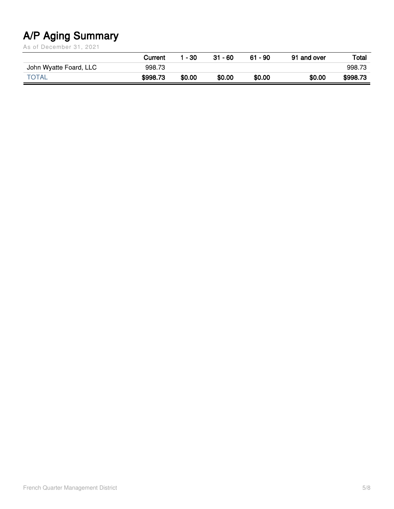# <span id="page-10-0"></span>**A/P Aging Summary**

As of December 31, 2021

|                        | Current  | - 30   | $31 - 60$ | $61 - 90$ | 91 and over | Total    |
|------------------------|----------|--------|-----------|-----------|-------------|----------|
| John Wyatte Foard, LLC | 998.73   |        |           |           |             | 998.73   |
| <b>TOTAL</b>           | \$998.73 | \$0.00 | \$0.00    | \$0.00    | \$0.00      | \$998.73 |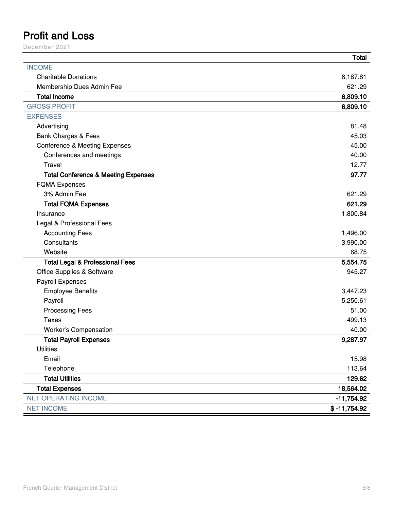## <span id="page-11-0"></span>**Profit and Loss**

December 2021

|                                                | <b>Total</b>   |
|------------------------------------------------|----------------|
| <b>INCOME</b>                                  |                |
| <b>Charitable Donations</b>                    | 6,187.81       |
| Membership Dues Admin Fee                      | 621.29         |
| <b>Total Income</b>                            | 6,809.10       |
| <b>GROSS PROFIT</b>                            | 6,809.10       |
| <b>EXPENSES</b>                                |                |
| Advertising                                    | 81.48          |
| <b>Bank Charges &amp; Fees</b>                 | 45.03          |
| <b>Conference &amp; Meeting Expenses</b>       | 45.00          |
| Conferences and meetings                       | 40.00          |
| Travel                                         | 12.77          |
| <b>Total Conference &amp; Meeting Expenses</b> | 97.77          |
| <b>FQMA Expenses</b>                           |                |
| 3% Admin Fee                                   | 621.29         |
| <b>Total FQMA Expenses</b>                     | 621.29         |
| Insurance                                      | 1,800.84       |
| Legal & Professional Fees                      |                |
| <b>Accounting Fees</b>                         | 1,496.00       |
| Consultants                                    | 3,990.00       |
| Website                                        | 68.75          |
| <b>Total Legal &amp; Professional Fees</b>     | 5,554.75       |
| Office Supplies & Software                     | 945.27         |
| Payroll Expenses                               |                |
| <b>Employee Benefits</b>                       | 3,447.23       |
| Payroll                                        | 5,250.61       |
| <b>Processing Fees</b>                         | 51.00          |
| <b>Taxes</b>                                   | 499.13         |
| Worker's Compensation                          | 40.00          |
| <b>Total Payroll Expenses</b>                  | 9,287.97       |
| <b>Utilities</b>                               |                |
| Email                                          | 15.98          |
| Telephone                                      | 113.64         |
| <b>Total Utilities</b>                         | 129.62         |
| <b>Total Expenses</b>                          | 18,564.02      |
| <b>NET OPERATING INCOME</b>                    | $-11,754.92$   |
| <b>NET INCOME</b>                              | $$ -11,754.92$ |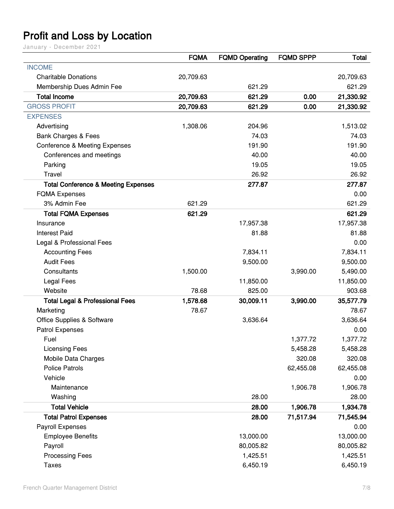# <span id="page-12-0"></span>**Profit and Loss by Location**

January - December 2021

|                                                | <b>FQMA</b> | <b>FQMD Operating</b> | <b>FQMD SPPP</b> | <b>Total</b> |
|------------------------------------------------|-------------|-----------------------|------------------|--------------|
| <b>INCOME</b>                                  |             |                       |                  |              |
| <b>Charitable Donations</b>                    | 20,709.63   |                       |                  | 20,709.63    |
| Membership Dues Admin Fee                      |             | 621.29                |                  | 621.29       |
| <b>Total Income</b>                            | 20,709.63   | 621.29                | 0.00             | 21,330.92    |
| <b>GROSS PROFIT</b>                            | 20,709.63   | 621.29                | 0.00             | 21,330.92    |
| <b>EXPENSES</b>                                |             |                       |                  |              |
| Advertising                                    | 1,308.06    | 204.96                |                  | 1,513.02     |
| <b>Bank Charges &amp; Fees</b>                 |             | 74.03                 |                  | 74.03        |
| <b>Conference &amp; Meeting Expenses</b>       |             | 191.90                |                  | 191.90       |
| Conferences and meetings                       |             | 40.00                 |                  | 40.00        |
| Parking                                        |             | 19.05                 |                  | 19.05        |
| Travel                                         |             | 26.92                 |                  | 26.92        |
| <b>Total Conference &amp; Meeting Expenses</b> |             | 277.87                |                  | 277.87       |
| <b>FQMA Expenses</b>                           |             |                       |                  | 0.00         |
| 3% Admin Fee                                   | 621.29      |                       |                  | 621.29       |
| <b>Total FQMA Expenses</b>                     | 621.29      |                       |                  | 621.29       |
| Insurance                                      |             | 17,957.38             |                  | 17,957.38    |
| <b>Interest Paid</b>                           |             | 81.88                 |                  | 81.88        |
| Legal & Professional Fees                      |             |                       |                  | 0.00         |
| <b>Accounting Fees</b>                         |             | 7,834.11              |                  | 7,834.11     |
| <b>Audit Fees</b>                              |             | 9,500.00              |                  | 9,500.00     |
| Consultants                                    | 1,500.00    |                       | 3,990.00         | 5,490.00     |
| <b>Legal Fees</b>                              |             | 11,850.00             |                  | 11,850.00    |
| Website                                        | 78.68       | 825.00                |                  | 903.68       |
| <b>Total Legal &amp; Professional Fees</b>     | 1,578.68    | 30,009.11             | 3,990.00         | 35,577.79    |
| Marketing                                      | 78.67       |                       |                  | 78.67        |
| <b>Office Supplies &amp; Software</b>          |             | 3,636.64              |                  | 3,636.64     |
| Patrol Expenses                                |             |                       |                  | 0.00         |
| Fuel                                           |             |                       | 1,377.72         | 1,377.72     |
| <b>Licensing Fees</b>                          |             |                       | 5,458.28         | 5,458.28     |
| Mobile Data Charges                            |             |                       | 320.08           | 320.08       |
| <b>Police Patrols</b>                          |             |                       | 62,455.08        | 62,455.08    |
| Vehicle                                        |             |                       |                  | 0.00         |
| Maintenance                                    |             |                       | 1,906.78         | 1,906.78     |
| Washing                                        |             | 28.00                 |                  | 28.00        |
| <b>Total Vehicle</b>                           |             | 28.00                 | 1,906.78         | 1,934.78     |
| <b>Total Patrol Expenses</b>                   |             | 28.00                 | 71,517.94        | 71,545.94    |
| Payroll Expenses                               |             |                       |                  | 0.00         |
| <b>Employee Benefits</b>                       |             | 13,000.00             |                  | 13,000.00    |
| Payroll                                        |             | 80,005.82             |                  | 80,005.82    |
| <b>Processing Fees</b>                         |             | 1,425.51              |                  | 1,425.51     |
| <b>Taxes</b>                                   |             | 6,450.19              |                  | 6,450.19     |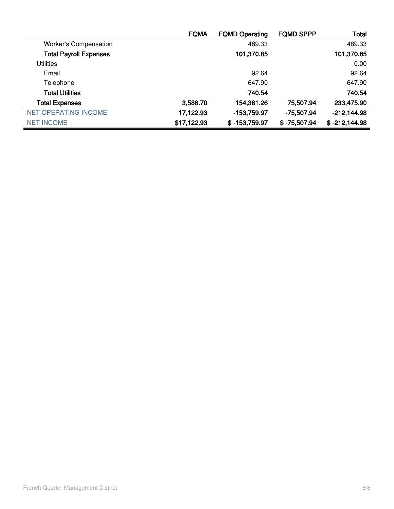|                               | <b>FQMA</b> | <b>FQMD Operating</b> | <b>FQMD SPPP</b> | <b>Total</b>    |
|-------------------------------|-------------|-----------------------|------------------|-----------------|
| <b>Worker's Compensation</b>  |             | 489.33                |                  | 489.33          |
| <b>Total Payroll Expenses</b> |             | 101,370.85            |                  | 101,370.85      |
| <b>Utilities</b>              |             |                       |                  | 0.00            |
| Email                         |             | 92.64                 |                  | 92.64           |
| Telephone                     |             | 647.90                |                  | 647.90          |
| <b>Total Utilities</b>        |             | 740.54                |                  | 740.54          |
| <b>Total Expenses</b>         | 3,586.70    | 154,381.26            | 75,507.94        | 233,475.90      |
| <b>NET OPERATING INCOME</b>   | 17,122.93   | -153,759.97           | -75,507.94       | $-212,144.98$   |
| <b>NET INCOME</b>             | \$17,122.93 | $$ -153,759.97$       | $$ -75,507.94$   | $$ -212,144.98$ |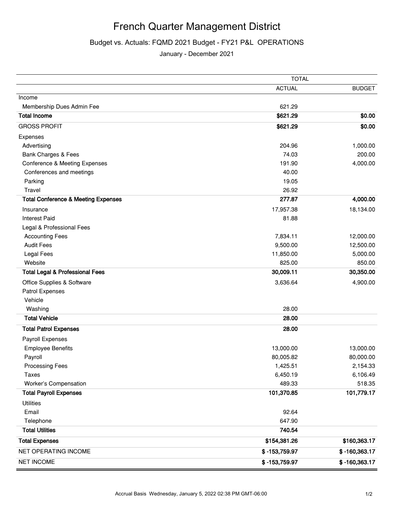### French Quarter Management District

### Budget vs. Actuals: FQMD 2021 Budget - FY21 P&L OPERATIONS

January - December 2021

|                                                | <b>TOTAL</b>    |                 |  |
|------------------------------------------------|-----------------|-----------------|--|
|                                                | <b>ACTUAL</b>   | <b>BUDGET</b>   |  |
| Income                                         |                 |                 |  |
| Membership Dues Admin Fee                      | 621.29          |                 |  |
| <b>Total Income</b>                            | \$621.29        | \$0.00          |  |
| <b>GROSS PROFIT</b>                            | \$621.29        | \$0.00          |  |
| Expenses                                       |                 |                 |  |
| Advertising                                    | 204.96          | 1,000.00        |  |
| <b>Bank Charges &amp; Fees</b>                 | 74.03           | 200.00          |  |
| <b>Conference &amp; Meeting Expenses</b>       | 191.90          | 4,000.00        |  |
| Conferences and meetings                       | 40.00           |                 |  |
| Parking                                        | 19.05           |                 |  |
| Travel                                         | 26.92           |                 |  |
| <b>Total Conference &amp; Meeting Expenses</b> | 277.87          | 4,000.00        |  |
| Insurance                                      | 17,957.38       | 18,134.00       |  |
| <b>Interest Paid</b>                           | 81.88           |                 |  |
| Legal & Professional Fees                      |                 |                 |  |
| <b>Accounting Fees</b>                         | 7,834.11        | 12,000.00       |  |
| <b>Audit Fees</b>                              | 9,500.00        | 12,500.00       |  |
| Legal Fees                                     | 11,850.00       | 5,000.00        |  |
| Website                                        | 825.00          | 850.00          |  |
| <b>Total Legal &amp; Professional Fees</b>     | 30,009.11       | 30,350.00       |  |
| Office Supplies & Software                     | 3,636.64        | 4,900.00        |  |
| Patrol Expenses                                |                 |                 |  |
| Vehicle                                        |                 |                 |  |
| Washing                                        | 28.00           |                 |  |
| <b>Total Vehicle</b>                           | 28.00           |                 |  |
| <b>Total Patrol Expenses</b>                   | 28.00           |                 |  |
| Payroll Expenses                               |                 |                 |  |
| <b>Employee Benefits</b>                       | 13,000.00       | 13,000.00       |  |
| Payroll                                        | 80,005.82       | 80,000.00       |  |
| <b>Processing Fees</b>                         | 1,425.51        | 2,154.33        |  |
| <b>Taxes</b>                                   | 6,450.19        | 6,106.49        |  |
| Worker's Compensation                          | 489.33          | 518.35          |  |
| <b>Total Payroll Expenses</b>                  | 101,370.85      | 101,779.17      |  |
| <b>Utilities</b>                               |                 |                 |  |
| Email                                          | 92.64           |                 |  |
| Telephone                                      | 647.90          |                 |  |
| <b>Total Utilities</b>                         | 740.54          |                 |  |
| <b>Total Expenses</b>                          | \$154,381.26    | \$160,363.17    |  |
| NET OPERATING INCOME                           | \$-153,759.97   | \$-160,363.17   |  |
| <b>NET INCOME</b>                              | $$ -153,759.97$ | $$ -160,363.17$ |  |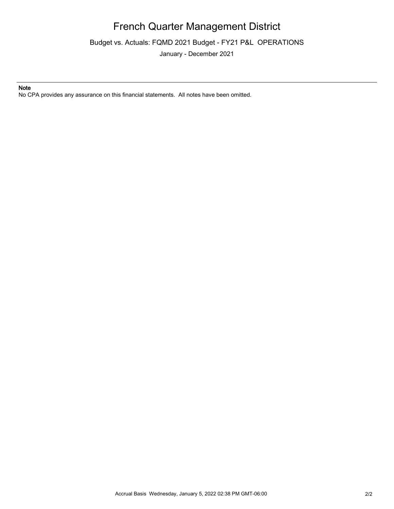### French Quarter Management District

Budget vs. Actuals: FQMD 2021 Budget - FY21 P&L OPERATIONS

January - December 2021

#### **Note**

No CPA provides any assurance on this financial statements. All notes have been omitted.